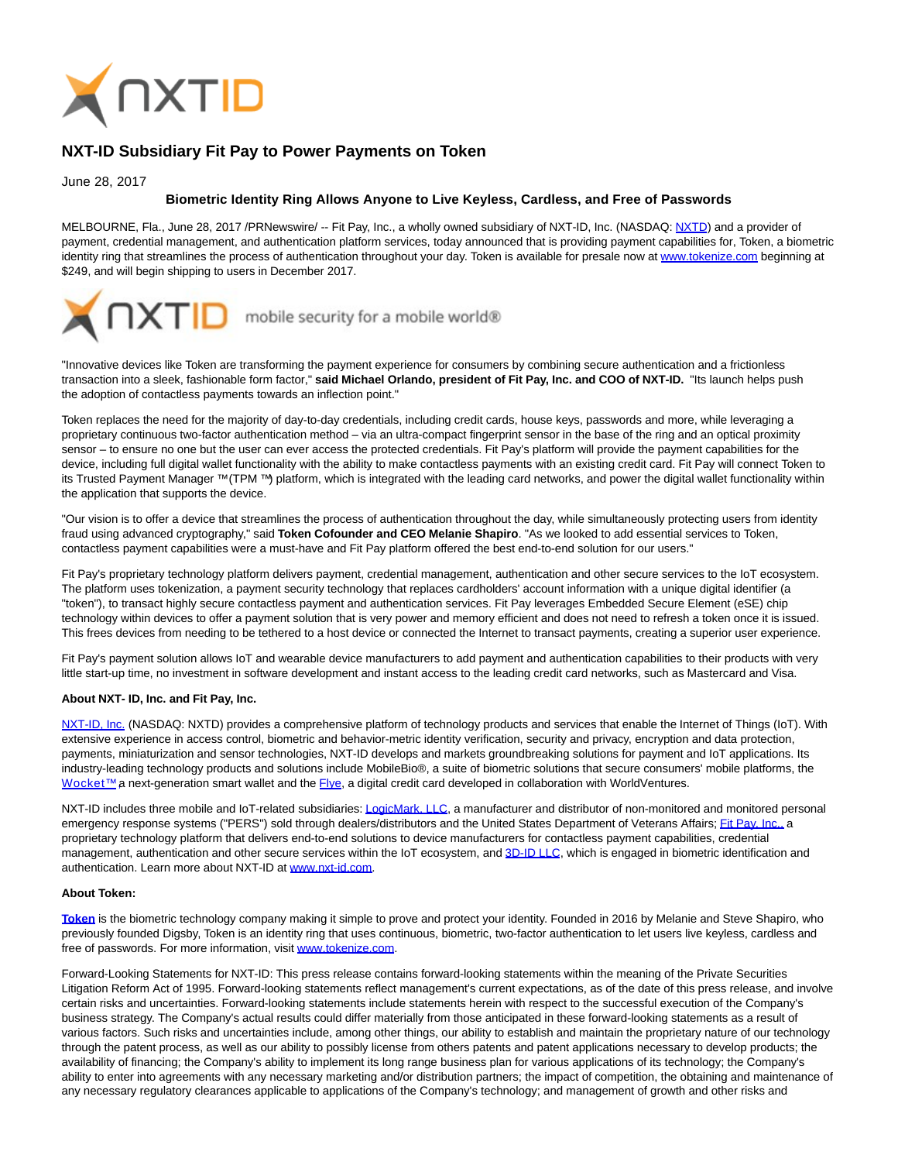

## **NXT-ID Subsidiary Fit Pay to Power Payments on Token**

June 28, 2017

## **Biometric Identity Ring Allows Anyone to Live Keyless, Cardless, and Free of Passwords**

MELBOURNE, Fla., June 28, 2017 /PRNewswire/ -- Fit Pay, Inc., a wholly owned subsidiary of NXT-ID, Inc. (NASDAQ: [NXTD\)](https://finance.yahoo.com/q?s=nxtd) and a provider of payment, credential management, and authentication platform services, today announced that is providing payment capabilities for, Token, a biometric identity ring that streamlines the process of authentication throughout your day. Token is available for presale now at [www.tokenize.com b](http://www.tokenize.com/)eginning at \$249, and will begin shipping to users in December 2017.



"Innovative devices like Token are transforming the payment experience for consumers by combining secure authentication and a frictionless transaction into a sleek, fashionable form factor," **said Michael Orlando, president of Fit Pay, Inc. and COO of NXT-ID.** "Its launch helps push the adoption of contactless payments towards an inflection point."

Token replaces the need for the majority of day-to-day credentials, including credit cards, house keys, passwords and more, while leveraging a proprietary continuous two-factor authentication method – via an ultra-compact fingerprint sensor in the base of the ring and an optical proximity sensor – to ensure no one but the user can ever access the protected credentials. Fit Pay's platform will provide the payment capabilities for the device, including full digital wallet functionality with the ability to make contactless payments with an existing credit card. Fit Pay will connect Token to its Trusted Payment Manager ™ (TPM ™) platform, which is integrated with the leading card networks, and power the digital wallet functionality within the application that supports the device.

"Our vision is to offer a device that streamlines the process of authentication throughout the day, while simultaneously protecting users from identity fraud using advanced cryptography," said **Token Cofounder and CEO Melanie Shapiro**. "As we looked to add essential services to Token, contactless payment capabilities were a must-have and Fit Pay platform offered the best end-to-end solution for our users."

Fit Pay's proprietary technology platform delivers payment, credential management, authentication and other secure services to the IoT ecosystem. The platform uses tokenization, a payment security technology that replaces cardholders' account information with a unique digital identifier (a "token"), to transact highly secure contactless payment and authentication services. Fit Pay leverages Embedded Secure Element (eSE) chip technology within devices to offer a payment solution that is very power and memory efficient and does not need to refresh a token once it is issued. This frees devices from needing to be tethered to a host device or connected the Internet to transact payments, creating a superior user experience.

Fit Pay's payment solution allows IoT and wearable device manufacturers to add payment and authentication capabilities to their products with very little start-up time, no investment in software development and instant access to the leading credit card networks, such as Mastercard and Visa.

## **About NXT- ID, Inc. and Fit Pay, Inc.**

[NXT-ID, Inc. \(](http://www.nxt-id.com/)NASDAQ: NXTD) provides a comprehensive platform of technology products and services that enable the Internet of Things (IoT). With extensive experience in access control, biometric and behavior-metric identity verification, security and privacy, encryption and data protection, payments, miniaturization and sensor technologies, NXT-ID develops and markets groundbreaking solutions for payment and IoT applications. Its industry-leading technology products and solutions include MobileBio®, a suite of biometric solutions that secure consumers' mobile platforms, the Wocket™ a next-generation smart wallet and the [Flye,](https://www.flye.com/) a digital credit card developed in collaboration with WorldVentures.

NXT-ID includes three mobile and IoT-related subsidiaries[: LogicMark, LLC,](https://www.logicmark.com/) a manufacturer and distributor of non-monitored and monitored personal emergency response systems ("PERS") sold through dealers/distributors and the United States Department of Veterans Affairs[; Fit Pay, Inc., a](http://www.fit-pay.com/) proprietary technology platform that delivers end-to-end solutions to device manufacturers for contactless payment capabilities, credential management, authentication and other secure services within the IoT ecosystem, and [3D-ID LLC,](http://nxt-id.com/products/3did/) which is engaged in biometric identification and authentication. Learn more about NXT-ID at [www.nxt-id.com.](http://www.nxt-id.com/)

## **About Token:**

**[Token](http://tokenize.com/)** is the biometric technology company making it simple to prove and protect your identity. Founded in 2016 by Melanie and Steve Shapiro, who previously founded Digsby, Token is an identity ring that uses continuous, biometric, two-factor authentication to let users live keyless, cardless and free of passwords. For more information, visit [www.tokenize.com.](http://www.tokenize.com/)

Forward-Looking Statements for NXT-ID: This press release contains forward-looking statements within the meaning of the Private Securities Litigation Reform Act of 1995. Forward-looking statements reflect management's current expectations, as of the date of this press release, and involve certain risks and uncertainties. Forward-looking statements include statements herein with respect to the successful execution of the Company's business strategy. The Company's actual results could differ materially from those anticipated in these forward-looking statements as a result of various factors. Such risks and uncertainties include, among other things, our ability to establish and maintain the proprietary nature of our technology through the patent process, as well as our ability to possibly license from others patents and patent applications necessary to develop products; the availability of financing; the Company's ability to implement its long range business plan for various applications of its technology; the Company's ability to enter into agreements with any necessary marketing and/or distribution partners; the impact of competition, the obtaining and maintenance of any necessary regulatory clearances applicable to applications of the Company's technology; and management of growth and other risks and